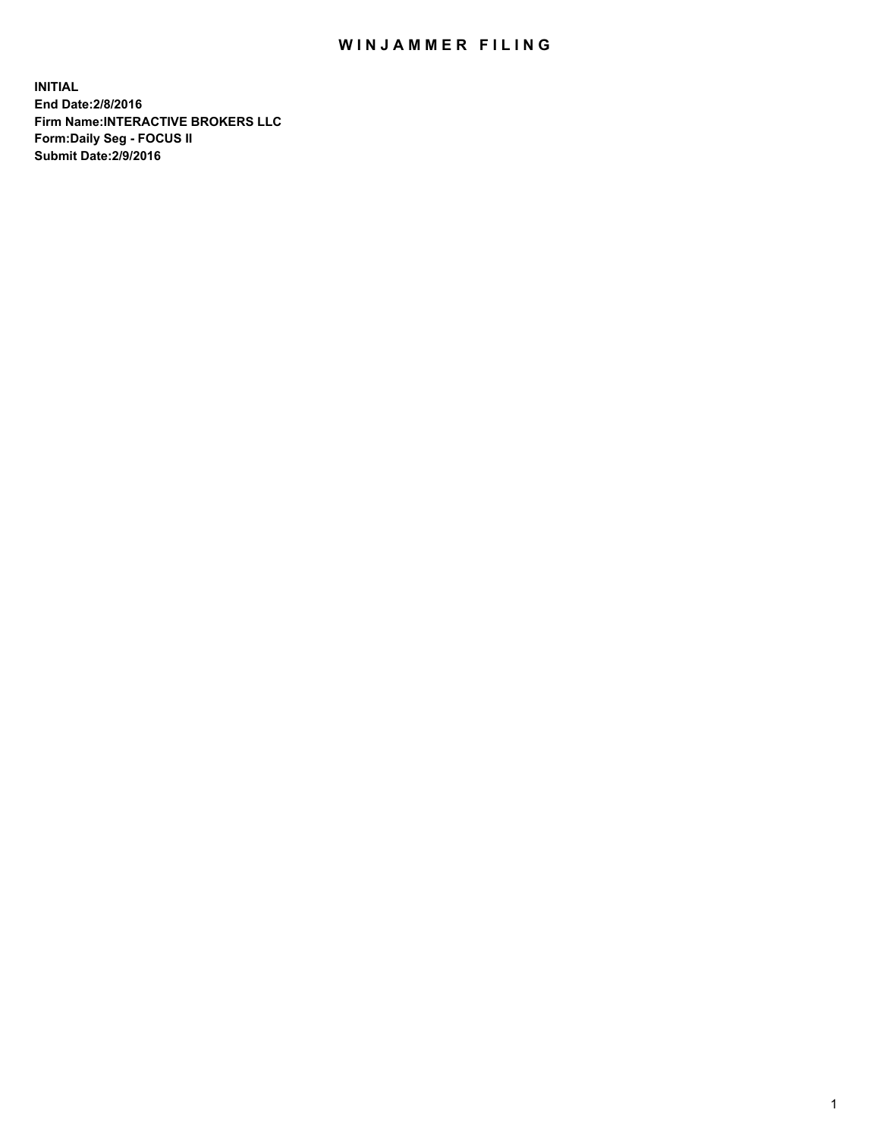## WIN JAMMER FILING

**INITIAL End Date:2/8/2016 Firm Name:INTERACTIVE BROKERS LLC Form:Daily Seg - FOCUS II Submit Date:2/9/2016**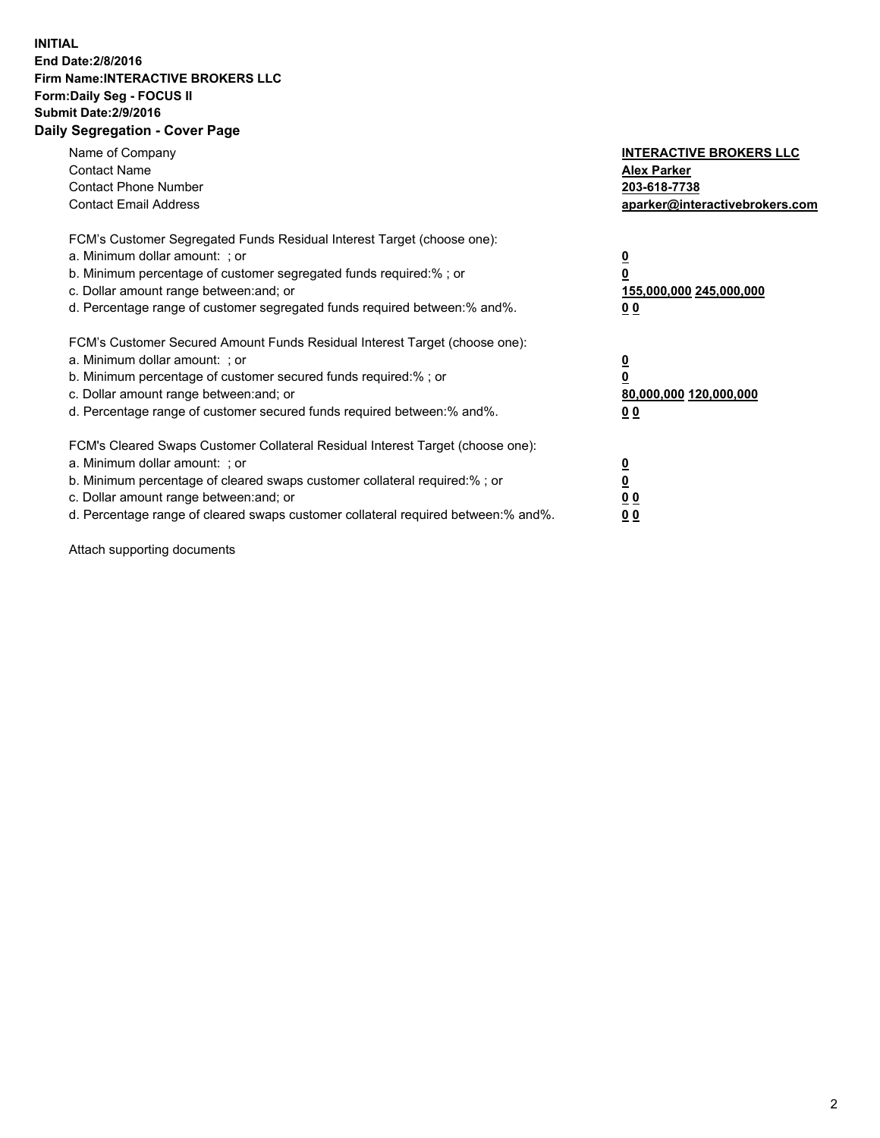## **INITIAL End Date:2/8/2016 Firm Name:INTERACTIVE BROKERS LLC Form:Daily Seg - FOCUS II Submit Date:2/9/2016 Daily Segregation - Cover Page**

| Name of Company<br><b>Contact Name</b><br><b>Contact Phone Number</b><br><b>Contact Email Address</b>                                                                                                                                                                                                                          | <b>INTERACTIVE BROKERS LLC</b><br><b>Alex Parker</b><br>203-618-7738<br>aparker@interactivebrokers.com |
|--------------------------------------------------------------------------------------------------------------------------------------------------------------------------------------------------------------------------------------------------------------------------------------------------------------------------------|--------------------------------------------------------------------------------------------------------|
| FCM's Customer Segregated Funds Residual Interest Target (choose one):<br>a. Minimum dollar amount: ; or<br>b. Minimum percentage of customer segregated funds required:%; or<br>c. Dollar amount range between: and; or<br>d. Percentage range of customer segregated funds required between:% and%.                          | <u>0</u><br>155,000,000 245,000,000<br><u>00</u>                                                       |
| FCM's Customer Secured Amount Funds Residual Interest Target (choose one):<br>a. Minimum dollar amount: ; or<br>b. Minimum percentage of customer secured funds required:%; or<br>c. Dollar amount range between: and; or<br>d. Percentage range of customer secured funds required between:% and%.                            | <u>0</u><br>80,000,000 120,000,000<br>0 <sub>0</sub>                                                   |
| FCM's Cleared Swaps Customer Collateral Residual Interest Target (choose one):<br>a. Minimum dollar amount: ; or<br>b. Minimum percentage of cleared swaps customer collateral required:% ; or<br>c. Dollar amount range between: and; or<br>d. Percentage range of cleared swaps customer collateral required between:% and%. | ₫<br>0 <sub>0</sub><br>0 <sub>0</sub>                                                                  |

Attach supporting documents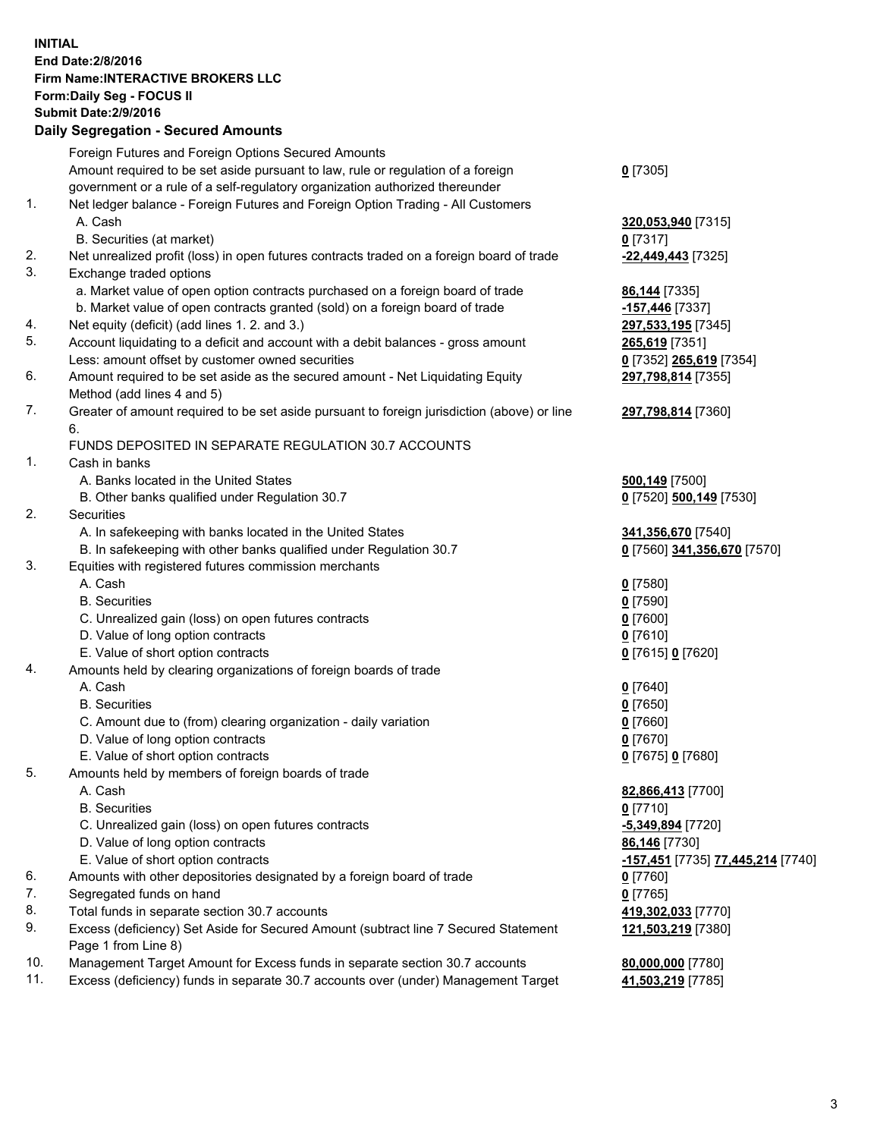## **INITIAL End Date:2/8/2016 Firm Name:INTERACTIVE BROKERS LLC Form:Daily Seg - FOCUS II Submit Date:2/9/2016 Daily Segregation - Secured Amounts**

|     | Foreign Futures and Foreign Options Secured Amounts                                         |                                                       |
|-----|---------------------------------------------------------------------------------------------|-------------------------------------------------------|
|     | Amount required to be set aside pursuant to law, rule or regulation of a foreign            | $0$ [7305]                                            |
|     | government or a rule of a self-regulatory organization authorized thereunder                |                                                       |
| 1.  | Net ledger balance - Foreign Futures and Foreign Option Trading - All Customers             |                                                       |
|     | A. Cash                                                                                     | 320,053,940 [7315]                                    |
|     | B. Securities (at market)                                                                   | $0$ [7317]                                            |
| 2.  | Net unrealized profit (loss) in open futures contracts traded on a foreign board of trade   | -22,449,443 <sup>[7325]</sup>                         |
| 3.  | Exchange traded options                                                                     |                                                       |
|     | a. Market value of open option contracts purchased on a foreign board of trade              | 86,144 [7335]                                         |
|     | b. Market value of open contracts granted (sold) on a foreign board of trade                | -157,446 [7337]                                       |
| 4.  | Net equity (deficit) (add lines 1.2. and 3.)                                                | 297,533,195 [7345]                                    |
| 5.  | Account liquidating to a deficit and account with a debit balances - gross amount           | 265,619 [7351]                                        |
|     | Less: amount offset by customer owned securities                                            | 0 [7352] 265,619 [7354]                               |
| 6.  | Amount required to be set aside as the secured amount - Net Liquidating Equity              | 297,798,814 [7355]                                    |
|     |                                                                                             |                                                       |
| 7.  | Method (add lines 4 and 5)                                                                  |                                                       |
|     | Greater of amount required to be set aside pursuant to foreign jurisdiction (above) or line | 297,798,814 [7360]                                    |
|     | 6.                                                                                          |                                                       |
|     | FUNDS DEPOSITED IN SEPARATE REGULATION 30.7 ACCOUNTS                                        |                                                       |
| 1.  | Cash in banks                                                                               |                                                       |
|     | A. Banks located in the United States                                                       | 500,149 [7500]                                        |
|     | B. Other banks qualified under Regulation 30.7                                              | 0 [7520] 500,149 [7530]                               |
| 2.  | Securities                                                                                  |                                                       |
|     | A. In safekeeping with banks located in the United States                                   | 341,356,670 [7540]                                    |
|     | B. In safekeeping with other banks qualified under Regulation 30.7                          | 0 [7560] 341,356,670 [7570]                           |
| 3.  | Equities with registered futures commission merchants                                       |                                                       |
|     | A. Cash                                                                                     | $0$ [7580]                                            |
|     | <b>B.</b> Securities                                                                        | $0$ [7590]                                            |
|     | C. Unrealized gain (loss) on open futures contracts                                         | $0$ [7600]                                            |
|     | D. Value of long option contracts                                                           | $0$ [7610]                                            |
|     | E. Value of short option contracts                                                          | 0 [7615] 0 [7620]                                     |
| 4.  | Amounts held by clearing organizations of foreign boards of trade                           |                                                       |
|     | A. Cash                                                                                     | $0$ [7640]                                            |
|     | <b>B.</b> Securities                                                                        | $0$ [7650]                                            |
|     | C. Amount due to (from) clearing organization - daily variation                             | $0$ [7660]                                            |
|     | D. Value of long option contracts                                                           | $0$ [7670]                                            |
|     | E. Value of short option contracts                                                          | 0 [7675] 0 [7680]                                     |
| 5.  | Amounts held by members of foreign boards of trade                                          |                                                       |
|     | A. Cash                                                                                     | 82,866,413 [7700]                                     |
|     | <b>B.</b> Securities                                                                        | $0$ [7710]                                            |
|     | C. Unrealized gain (loss) on open futures contracts                                         | -5,349,894 [7720]                                     |
|     | D. Value of long option contracts                                                           | 86,146 [7730]                                         |
|     | E. Value of short option contracts                                                          | <mark>-157,451</mark> [7735] <u>77,445,214</u> [7740] |
| 6.  | Amounts with other depositories designated by a foreign board of trade                      | $0$ [7760]                                            |
| 7.  | Segregated funds on hand                                                                    | $0$ [7765]                                            |
| 8.  | Total funds in separate section 30.7 accounts                                               | 419,302,033 [7770]                                    |
| 9.  | Excess (deficiency) Set Aside for Secured Amount (subtract line 7 Secured Statement         | 121,503,219 [7380]                                    |
|     | Page 1 from Line 8)                                                                         |                                                       |
| 10. | Management Target Amount for Excess funds in separate section 30.7 accounts                 | 80,000,000 [7780]                                     |
| 11. | Excess (deficiency) funds in separate 30.7 accounts over (under) Management Target          | 41,503,219 [7785]                                     |
|     |                                                                                             |                                                       |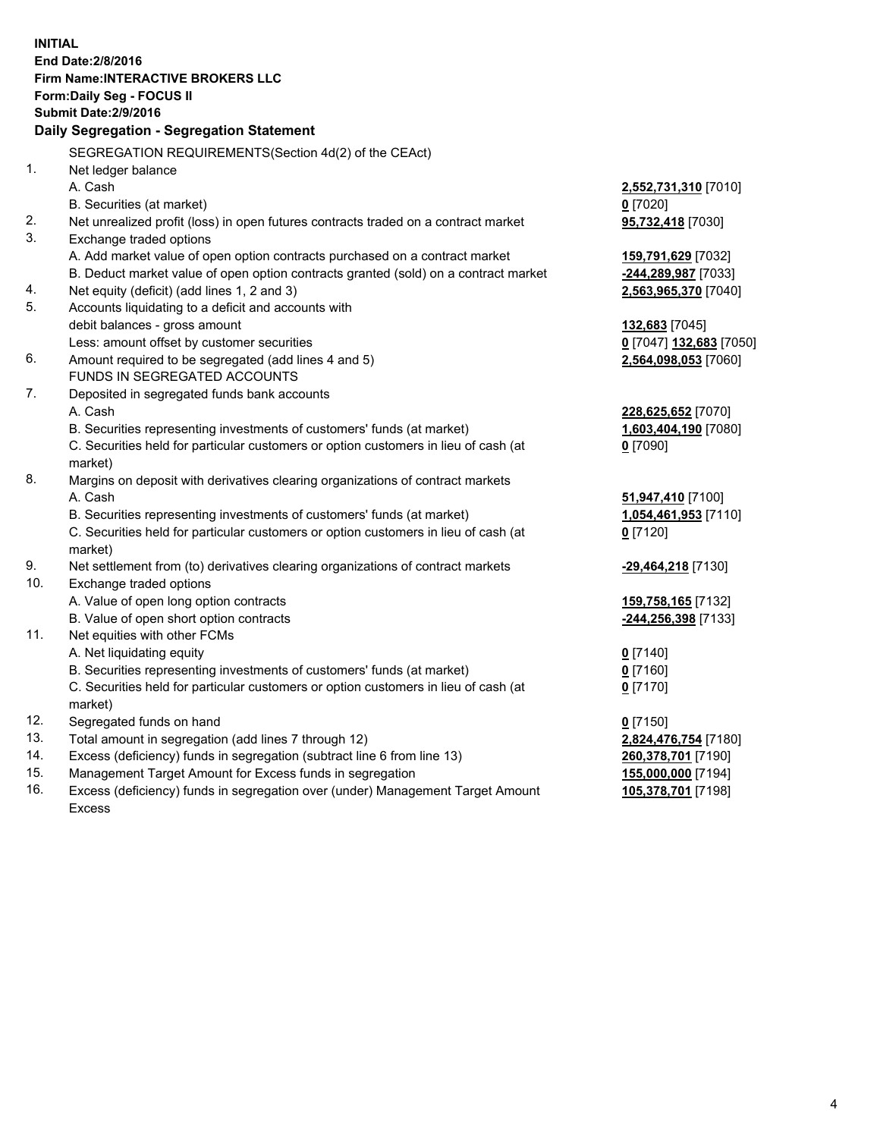**INITIAL End Date:2/8/2016 Firm Name:INTERACTIVE BROKERS LLC Form:Daily Seg - FOCUS II Submit Date:2/9/2016 Daily Segregation - Segregation Statement** SEGREGATION REQUIREMENTS(Section 4d(2) of the CEAct) 1. Net ledger balance A. Cash **2,552,731,310** [7010] B. Securities (at market) **0** [7020] 2. Net unrealized profit (loss) in open futures contracts traded on a contract market **95,732,418** [7030] 3. Exchange traded options A. Add market value of open option contracts purchased on a contract market **159,791,629** [7032] B. Deduct market value of open option contracts granted (sold) on a contract market **-244,289,987** [7033] 4. Net equity (deficit) (add lines 1, 2 and 3) **2,563,965,370** [7040] 5. Accounts liquidating to a deficit and accounts with debit balances - gross amount **132,683** [7045] Less: amount offset by customer securities **0** [7047] **132,683** [7050] 6. Amount required to be segregated (add lines 4 and 5) **2,564,098,053** [7060] FUNDS IN SEGREGATED ACCOUNTS 7. Deposited in segregated funds bank accounts A. Cash **228,625,652** [7070] B. Securities representing investments of customers' funds (at market) **1,603,404,190** [7080] C. Securities held for particular customers or option customers in lieu of cash (at market) **0** [7090] 8. Margins on deposit with derivatives clearing organizations of contract markets A. Cash **51,947,410** [7100] B. Securities representing investments of customers' funds (at market) **1,054,461,953** [7110] C. Securities held for particular customers or option customers in lieu of cash (at market) **0** [7120] 9. Net settlement from (to) derivatives clearing organizations of contract markets **-29,464,218** [7130] 10. Exchange traded options A. Value of open long option contracts **159,758,165** [7132] B. Value of open short option contracts **-244,256,398** [7133] 11. Net equities with other FCMs A. Net liquidating equity **0** [7140] B. Securities representing investments of customers' funds (at market) **0** [7160] C. Securities held for particular customers or option customers in lieu of cash (at market) **0** [7170] 12. Segregated funds on hand **0** [7150] 13. Total amount in segregation (add lines 7 through 12) **2,824,476,754** [7180] 14. Excess (deficiency) funds in segregation (subtract line 6 from line 13) **260,378,701** [7190] 15. Management Target Amount for Excess funds in segregation **155,000,000** [7194] 16. Excess (deficiency) funds in segregation over (under) Management Target Amount **105,378,701** [7198]

Excess